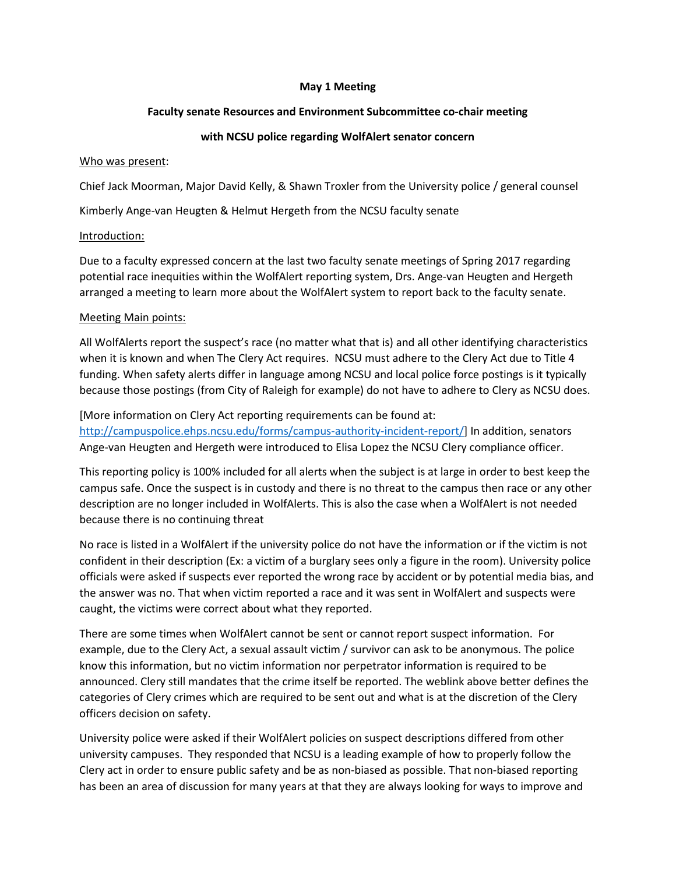## **May 1 Meeting**

## **Faculty senate Resources and Environment Subcommittee co-chair meeting**

# **with NCSU police regarding WolfAlert senator concern**

#### Who was present:

Chief Jack Moorman, Major David Kelly, & Shawn Troxler from the University police / general counsel

Kimberly Ange-van Heugten & Helmut Hergeth from the NCSU faculty senate

## Introduction:

Due to a faculty expressed concern at the last two faculty senate meetings of Spring 2017 regarding potential race inequities within the WolfAlert reporting system, Drs. Ange-van Heugten and Hergeth arranged a meeting to learn more about the WolfAlert system to report back to the faculty senate.

## Meeting Main points:

All WolfAlerts report the suspect's race (no matter what that is) and all other identifying characteristics when it is known and when The Clery Act requires. NCSU must adhere to the Clery Act due to Title 4 funding. When safety alerts differ in language among NCSU and local police force postings is it typically because those postings (from City of Raleigh for example) do not have to adhere to Clery as NCSU does.

[More information on Clery Act reporting requirements can be found at:

[http://campuspolice.ehps.ncsu.edu/forms/campus-authority-incident-report/\]](http://campuspolice.ehps.ncsu.edu/forms/campus-authority-incident-report/) In addition, senators Ange-van Heugten and Hergeth were introduced to Elisa Lopez the NCSU Clery compliance officer.

This reporting policy is 100% included for all alerts when the subject is at large in order to best keep the campus safe. Once the suspect is in custody and there is no threat to the campus then race or any other description are no longer included in WolfAlerts. This is also the case when a WolfAlert is not needed because there is no continuing threat

No race is listed in a WolfAlert if the university police do not have the information or if the victim is not confident in their description (Ex: a victim of a burglary sees only a figure in the room). University police officials were asked if suspects ever reported the wrong race by accident or by potential media bias, and the answer was no. That when victim reported a race and it was sent in WolfAlert and suspects were caught, the victims were correct about what they reported.

There are some times when WolfAlert cannot be sent or cannot report suspect information. For example, due to the Clery Act, a sexual assault victim / survivor can ask to be anonymous. The police know this information, but no victim information nor perpetrator information is required to be announced. Clery still mandates that the crime itself be reported. The weblink above better defines the categories of Clery crimes which are required to be sent out and what is at the discretion of the Clery officers decision on safety.

University police were asked if their WolfAlert policies on suspect descriptions differed from other university campuses. They responded that NCSU is a leading example of how to properly follow the Clery act in order to ensure public safety and be as non-biased as possible. That non-biased reporting has been an area of discussion for many years at that they are always looking for ways to improve and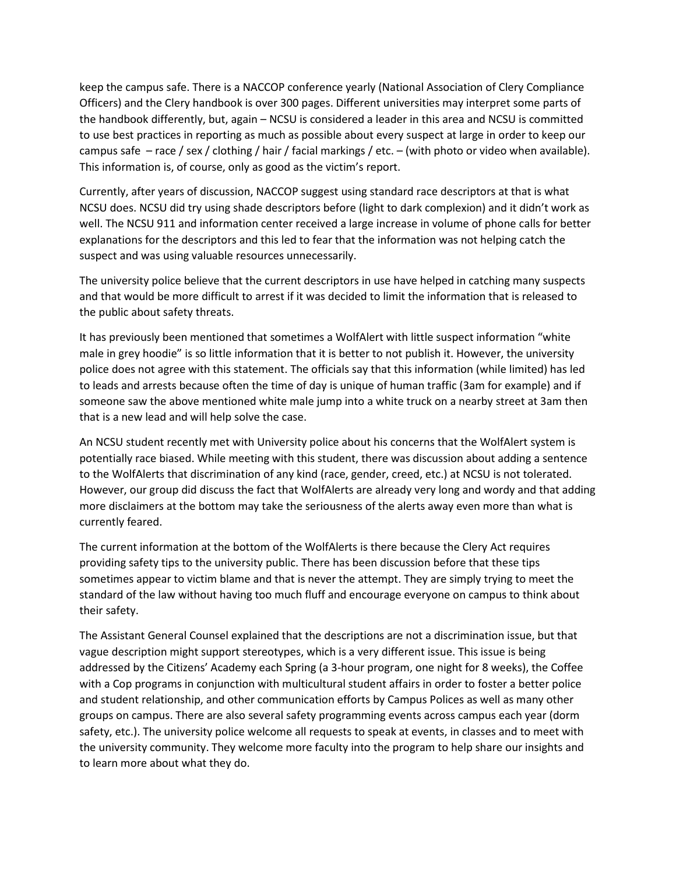keep the campus safe. There is a NACCOP conference yearly (National Association of Clery Compliance Officers) and the Clery handbook is over 300 pages. Different universities may interpret some parts of the handbook differently, but, again – NCSU is considered a leader in this area and NCSU is committed to use best practices in reporting as much as possible about every suspect at large in order to keep our campus safe – race / sex / clothing / hair / facial markings / etc. – (with photo or video when available). This information is, of course, only as good as the victim's report.

Currently, after years of discussion, NACCOP suggest using standard race descriptors at that is what NCSU does. NCSU did try using shade descriptors before (light to dark complexion) and it didn't work as well. The NCSU 911 and information center received a large increase in volume of phone calls for better explanations for the descriptors and this led to fear that the information was not helping catch the suspect and was using valuable resources unnecessarily.

The university police believe that the current descriptors in use have helped in catching many suspects and that would be more difficult to arrest if it was decided to limit the information that is released to the public about safety threats.

It has previously been mentioned that sometimes a WolfAlert with little suspect information "white male in grey hoodie" is so little information that it is better to not publish it. However, the university police does not agree with this statement. The officials say that this information (while limited) has led to leads and arrests because often the time of day is unique of human traffic (3am for example) and if someone saw the above mentioned white male jump into a white truck on a nearby street at 3am then that is a new lead and will help solve the case.

An NCSU student recently met with University police about his concerns that the WolfAlert system is potentially race biased. While meeting with this student, there was discussion about adding a sentence to the WolfAlerts that discrimination of any kind (race, gender, creed, etc.) at NCSU is not tolerated. However, our group did discuss the fact that WolfAlerts are already very long and wordy and that adding more disclaimers at the bottom may take the seriousness of the alerts away even more than what is currently feared.

The current information at the bottom of the WolfAlerts is there because the Clery Act requires providing safety tips to the university public. There has been discussion before that these tips sometimes appear to victim blame and that is never the attempt. They are simply trying to meet the standard of the law without having too much fluff and encourage everyone on campus to think about their safety.

The Assistant General Counsel explained that the descriptions are not a discrimination issue, but that vague description might support stereotypes, which is a very different issue. This issue is being addressed by the Citizens' Academy each Spring (a 3-hour program, one night for 8 weeks), the Coffee with a Cop programs in conjunction with multicultural student affairs in order to foster a better police and student relationship, and other communication efforts by Campus Polices as well as many other groups on campus. There are also several safety programming events across campus each year (dorm safety, etc.). The university police welcome all requests to speak at events, in classes and to meet with the university community. They welcome more faculty into the program to help share our insights and to learn more about what they do.